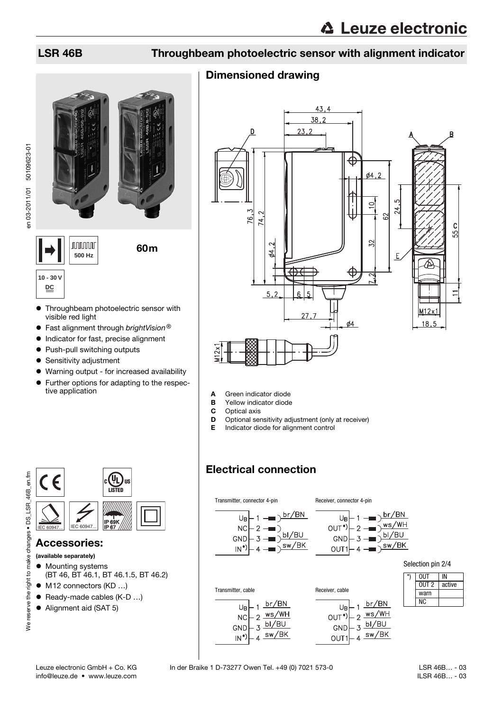# LSR 46B Throughbeam photoelectric sensor with alignment indicator

# Dimensioned drawing



- A Green indicator diode
- **B** Yellow indicator diode<br>**C** Optical axis
- 
- **C** Optical axis<br>**D** Optional ser Optional sensitivity adjustment (only at receiver)
- E Indicator diode for alignment control

# Electrical connection



**nnnnn** 

**500 Hz**



• Throughbeam photoelectric sensor with visible red light

60m

- **•** Fast alignment through *brightVision*<sup>®</sup><br>• Indicator for fast, precise alignment
- Indicator for fast, precise alignment
- Push-pull switching outputs
- **•** Sensitivity adjustment
- Warning output for increased availability
- Further options for adapting to the respective application



## Accessories:

(available separately)

- $\bullet$  Mounting systems (BT 46, BT 46.1, BT 46.1.5, BT 46.2)
- M12 connectors (KD ...)
- Ready-made cables (K-D ...)
- Alignment aid (SAT 5)

info@leuze.de • www.leuze.com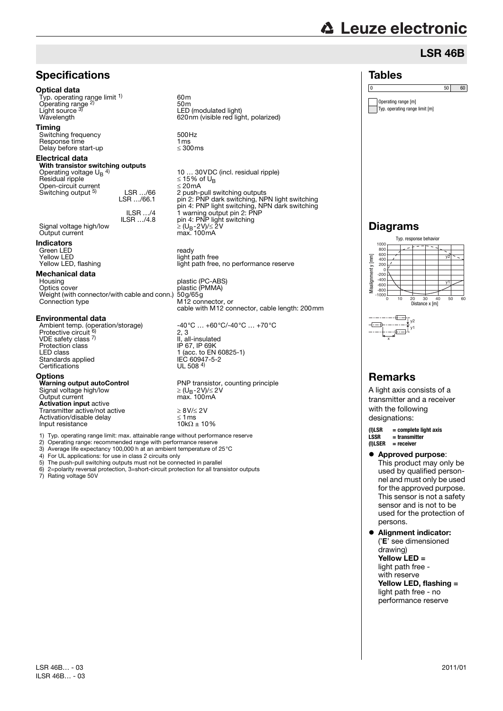# **△ Leuze electronic**

# LSR 46B

# **Specifications**

## Optical data

Typ. operating range limit <sup>1)</sup> Operating range<sup>2)</sup><br>Light source<sup>3)</sup>

## Timing

Switching frequency 500Hz<br>Response time 500Hz<br>Delay before start-up 500ms Response time Delay before start-up

## Electrical data

### With transistor switching outputs Operating voltage  $U_B$ <sup>4)</sup>

 $Residual$  ripple  $\leq 15\%$  of UBS of UBS of UBS of US\$ of US\$ of UBS of UBS of UBS of UBS of UBS of UBS of UBS of UBS of UBS of UBS of UBS of UBS of UBS of UBS of UBS of UBS of UBS of UBS of UBS of UBS of UBS of UBS of UBS of Open-circuit current<br>
Switching output <sup>5)</sup> LSR .../66 Switching output 5) LSR …/66.1

ILSR …/4 ILSR …/4.8 Signal voltage high/low<br>Output current

## Indicators

Green LED<br>
Yellow I FD<br>
Yellow I FD Yellow LED<br>
Yellow LED, flashing<br>
light path free.

# **Mechanical data**<br>Housing

Optics cover plastic (PMMA) Weight (with connector/with cable and conn.) 50g/65g Coptics cover<br>
Coptics cover<br>
Weight (with connector/with cable and conn.) 50g/65g<br>
Connection type<br>
M12 connector, or

## Environmental data

Ambient temp. (operation/storage) -40°C … +60°C/-40°C … +70°C<br>Protective circuit <sup>6</sup>) 2, 3 VDE safety class 7) Protection class<br>LED class Standards applied IEC 60947<br>Certifications UL 508.4 Certifications

Options<br>Warning output autoControl Signal voltage high/low Output current max. 100mA<br>**Activation input** active Transmitter active/not active<br>  $\angle 8V/\angle 2V$ <br>
Activation/disable delay<br>  $\angle 1$ ms<br>
Input resistance<br>  $10k\Omega \pm 10\%$ Activation/disable delay Input resistance

60m 50m Light source <sup>3)</sup> LED (modulated light)<br>Wavelength 620nm (visible red light, polarized)

10 ... 30 VDC (incl. residual ripple)<br> $\leq$  15% of U<sub>B</sub> 2 push-pull switching outputs pin 2: PNP dark switching, NPN light switching pin 4: PNP light switching, NPN dark switching 1 warning output pin 2: PNP pin 4: PNP light switching Output current max. 100mA

light path free, no performance reserve

plastic (PC-ABS) cable with M12 connector, cable length: 200mm

2, 3 II, all-insulated<br>IP 67, IP 69K 1 (acc. to EN 60825-1)<br>IEC 60947-5-2

PNP transistor, counting principle<br>  $\geq$  (U<sub>B</sub>-2V)/ $\leq$  2V<br>
max. 100mA

- 1) Typ. operating range limit: max. attainable range without performance reserve
- 2) Operating range: recommended range with performance reserve

3) Average life expectancy 100,000 h at an ambient temperature of 25°C

- 4) For UL applications: for use in class 2 circuits only
- 5) The push-pull switching outputs must not be connected in parallel 6) 2=polarity reversal protection, 3=short-circuit protection for all tran 6) 2=polarity reversal protection, 3=short-circuit protection for all transistor outputs

Rating voltage 50V

# Tables

0 50 60

Operating range [m] Typ. operating range limit [m]

# Diagrams



### $-\overline{+}$ ັ∨2 y1 x

# Remarks

A light axis consists of a transmitter and a receiver with the following designations:

**(I)LSR = complete light axis** (**I**)LSER = receiver

● Approved purpose: This product may only be used by qualified personnel and must only be used for the approved purpose. This sensor is not a safety sensor and is not to be used for the protection of persons.

 Alignment indicator: ('E' see dimensioned drawing) Yellow LED = light path free with reserve Yellow LED, flashing = light path free - no performance reserve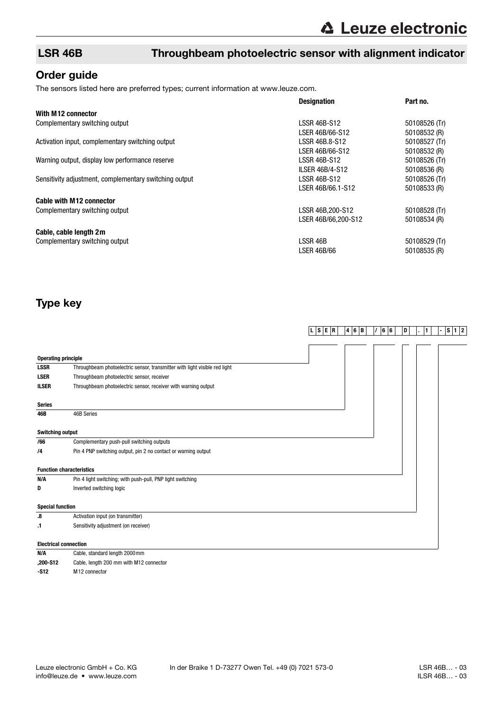# LSR 46B Throughbeam photoelectric sensor with alignment indicator

# Order guide

The sensors listed here are preferred types; current information at www.leuze.com.

|                                                        | <b>Designation</b>     | Part no.      |
|--------------------------------------------------------|------------------------|---------------|
| With M12 connector                                     |                        |               |
| Complementary switching output                         | LSSR 46B-S12           | 50108526 (Tr) |
|                                                        | LSER 46B/66-S12        | 50108532 (R)  |
| Activation input, complementary switching output       | LSSR 46B.8-S12         | 50108527 (Tr) |
|                                                        | LSER 46B/66-S12        | 50108532 (R)  |
| Warning output, display low performance reserve        | LSSR 46B-S12           | 50108526 (Tr) |
|                                                        | <b>ILSER 46B/4-S12</b> | 50108536 (R)  |
| Sensitivity adjustment, complementary switching output | LSSR 46B-S12           | 50108526 (Tr) |
|                                                        | LSER 46B/66.1-S12      | 50108533 (R)  |
| <b>Cable with M12 connector</b>                        |                        |               |
| Complementary switching output                         | LSSR 46B, 200-S12      | 50108528 (Tr) |
|                                                        | LSER 46B/66.200-S12    | 50108534 (R)  |
| Cable, cable length 2m                                 |                        |               |
| Complementary switching output                         | LSSR 46B               | 50108529 (Tr) |
|                                                        | LSER 46B/66            | 50108535 (R)  |

# Type key

|                            |                                                                            | $L \mid S \mid E \mid R$ | 4 6 B | 66 | D | 1 | $S$ 1 2 |
|----------------------------|----------------------------------------------------------------------------|--------------------------|-------|----|---|---|---------|
|                            |                                                                            |                          |       |    |   |   |         |
| <b>Operating principle</b> |                                                                            |                          |       |    |   |   |         |
| <b>LSSR</b>                | Throughbeam photoelectric sensor, transmitter with light visible red light |                          |       |    |   |   |         |
| <b>LSER</b>                | Throughbeam photoelectric sensor, receiver                                 |                          |       |    |   |   |         |
| <b>ILSER</b>               | Throughbeam photoelectric sensor, receiver with warning output             |                          |       |    |   |   |         |
| <b>Series</b>              |                                                                            |                          |       |    |   |   |         |
| 46B                        | 46B Series                                                                 |                          |       |    |   |   |         |
| <b>Switching output</b>    |                                                                            |                          |       |    |   |   |         |
| /66                        | Complementary push-pull switching outputs                                  |                          |       |    |   |   |         |
| /4                         | Pin 4 PNP switching output, pin 2 no contact or warning output             |                          |       |    |   |   |         |
|                            | <b>Function characteristics</b>                                            |                          |       |    |   |   |         |
| N/A                        | Pin 4 light switching; with push-pull, PNP light switching                 |                          |       |    |   |   |         |
| D                          | Inverted switching logic                                                   |                          |       |    |   |   |         |
| <b>Special function</b>    |                                                                            |                          |       |    |   |   |         |
| .8                         | Activation input (on transmitter)                                          |                          |       |    |   |   |         |
| .1                         | Sensitivity adjustment (on receiver)                                       |                          |       |    |   |   |         |
|                            | <b>Electrical connection</b>                                               |                          |       |    |   |   |         |
| N/A                        | Cable, standard length 2000 mm                                             |                          |       |    |   |   |         |

| N/A      | Cable, standard length 2000 mm          |
|----------|-----------------------------------------|
| .200-S12 | Cable, length 200 mm with M12 connector |
| -S12     | M <sub>12</sub> connector               |